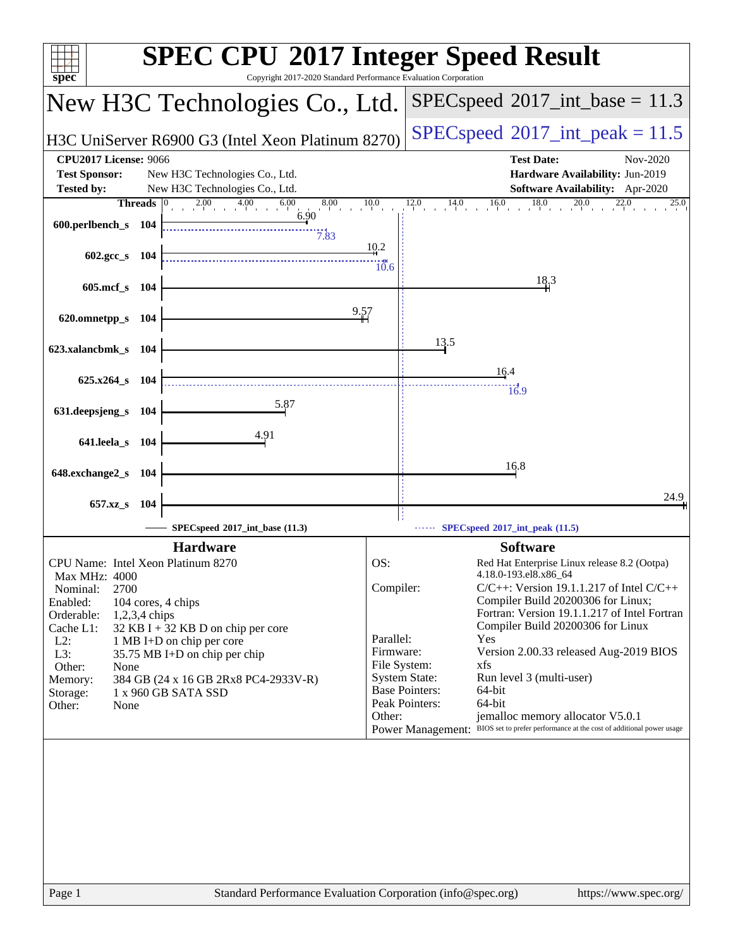| $spec^*$                                               | <b>SPEC CPU®2017 Integer Speed Result</b><br>Copyright 2017-2020 Standard Performance Evaluation Corporation |
|--------------------------------------------------------|--------------------------------------------------------------------------------------------------------------|
| New H3C Technologies Co., Ltd.                         | $SPEC speed^{\circ}2017\_int\_base = 11.3$                                                                   |
| H3C UniServer R6900 G3 (Intel Xeon Platinum 8270)      | $SPEC speed^{\circ}2017\_int\_peak = 11.5$                                                                   |
| <b>CPU2017 License: 9066</b>                           | <b>Test Date:</b><br>Nov-2020                                                                                |
| <b>Test Sponsor:</b><br>New H3C Technologies Co., Ltd. | Hardware Availability: Jun-2019                                                                              |
| <b>Tested by:</b><br>New H3C Technologies Co., Ltd.    | <b>Software Availability:</b> Apr-2020                                                                       |
| Threads 0<br>$\overline{2.00}$ 4.00 6.00               | 10.0<br>$\frac{12.0}{1}$<br>$14.0$ $16.0$ $18.0$ $20.0$ $22.0$<br>25.0                                       |
| 6.90<br>600.perlbench_s 104                            |                                                                                                              |
| 7.83                                                   | 10.2                                                                                                         |
| $602.\text{gcc}\,s$ 104                                | $\frac{10}{10.6}$                                                                                            |
|                                                        | 18,3                                                                                                         |
| 605.mcf_s 104                                          |                                                                                                              |
|                                                        | 9.57                                                                                                         |
| 620.omnetpp_s 104                                      |                                                                                                              |
|                                                        | 13.5                                                                                                         |
| 623.xalancbmk_s 104                                    |                                                                                                              |
| 625.x264_s 104                                         | 16.4                                                                                                         |
|                                                        | 16.9                                                                                                         |
| 5.87<br>631.deepsjeng_s 104                            |                                                                                                              |
|                                                        |                                                                                                              |
| <u>4.91</u><br>641.leela_s 104                         |                                                                                                              |
|                                                        | 16.8                                                                                                         |
| 648.exchange2_s 104                                    |                                                                                                              |
|                                                        | 24.9                                                                                                         |
| 657.xz_s 104                                           |                                                                                                              |
| SPECspeed®2017_int_base (11.3)                         | SPECspeed <sup>®</sup> 2017_int_peak (11.5)                                                                  |
| <b>Hardware</b>                                        | <b>Software</b>                                                                                              |
| CPU Name: Intel Xeon Platinum 8270                     | OS:<br>Red Hat Enterprise Linux release 8.2 (Ootpa)                                                          |
| Max MHz: 4000                                          | 4.18.0-193.el8.x86_64                                                                                        |
| 2700<br>Nominal:<br>Enabled:<br>104 cores, 4 chips     | Compiler:<br>$C/C++$ : Version 19.1.1.217 of Intel $C/C++$<br>Compiler Build 20200306 for Linux;             |
| Orderable:<br>$1,2,3,4$ chips                          | Fortran: Version 19.1.1.217 of Intel Fortran                                                                 |
| Cache L1:<br>$32$ KB I + 32 KB D on chip per core      | Compiler Build 20200306 for Linux                                                                            |
| $L2$ :<br>1 MB I+D on chip per core<br>L3:             | Parallel:<br>Yes<br>Version 2.00.33 released Aug-2019 BIOS<br>Firmware:                                      |
| 35.75 MB I+D on chip per chip<br>Other:<br>None        | File System:<br>xfs                                                                                          |
| 384 GB (24 x 16 GB 2Rx8 PC4-2933V-R)<br>Memory:        | <b>System State:</b><br>Run level 3 (multi-user)                                                             |
| 1 x 960 GB SATA SSD<br>Storage:                        | <b>Base Pointers:</b><br>64-bit<br>64-bit<br>Peak Pointers:                                                  |
| Other:<br>None                                         | Other:<br>jemalloc memory allocator V5.0.1                                                                   |
|                                                        | BIOS set to prefer performance at the cost of additional power usage<br><b>Power Management:</b>             |
|                                                        |                                                                                                              |
| Page 1                                                 | Standard Performance Evaluation Corporation (info@spec.org)<br>https://www.spec.org/                         |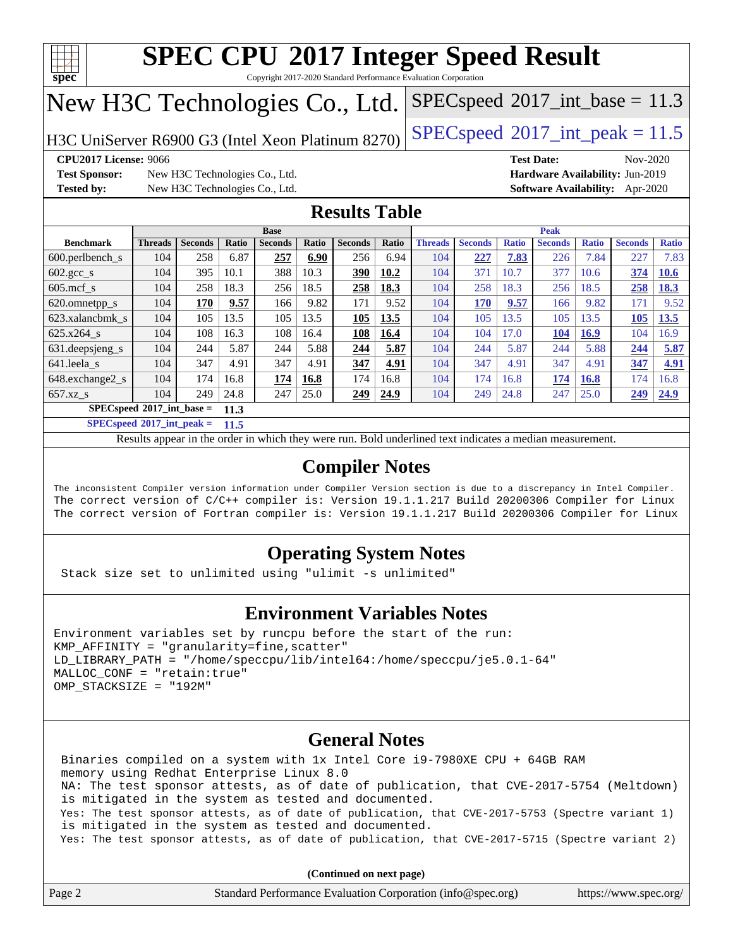

Copyright 2017-2020 Standard Performance Evaluation Corporation

# New H3C Technologies Co., Ltd.

H3C UniServer R6900 G3 (Intel Xeon Platinum 8270) [SPECspeed](http://www.spec.org/auto/cpu2017/Docs/result-fields.html#SPECspeed2017intpeak)®2017\_int\_peak =  $11.5$ 

 $SPECspeed^{\circ}2017\_int\_base = 11.3$  $SPECspeed^{\circ}2017\_int\_base = 11.3$ 

**[CPU2017 License:](http://www.spec.org/auto/cpu2017/Docs/result-fields.html#CPU2017License)** 9066 **[Test Date:](http://www.spec.org/auto/cpu2017/Docs/result-fields.html#TestDate)** Nov-2020

**[Test Sponsor:](http://www.spec.org/auto/cpu2017/Docs/result-fields.html#TestSponsor)** New H3C Technologies Co., Ltd. **[Hardware Availability:](http://www.spec.org/auto/cpu2017/Docs/result-fields.html#HardwareAvailability)** Jun-2019 **[Tested by:](http://www.spec.org/auto/cpu2017/Docs/result-fields.html#Testedby)** New H3C Technologies Co., Ltd. **[Software Availability:](http://www.spec.org/auto/cpu2017/Docs/result-fields.html#SoftwareAvailability)** Apr-2020

### **[Results Table](http://www.spec.org/auto/cpu2017/Docs/result-fields.html#ResultsTable)**

|                                      | <b>Base</b>    |                |       |                | <b>Peak</b> |                |       |                |                |              |                |              |                |              |
|--------------------------------------|----------------|----------------|-------|----------------|-------------|----------------|-------|----------------|----------------|--------------|----------------|--------------|----------------|--------------|
| <b>Benchmark</b>                     | <b>Threads</b> | <b>Seconds</b> | Ratio | <b>Seconds</b> | Ratio       | <b>Seconds</b> | Ratio | <b>Threads</b> | <b>Seconds</b> | <b>Ratio</b> | <b>Seconds</b> | <b>Ratio</b> | <b>Seconds</b> | <b>Ratio</b> |
| $600.$ perlbench $\mathsf{S}$        | 104            | 258            | 6.87  | 257            | 6.90        | 256            | 6.94  | 104            | 227            | 7.83         | 226            | 7.84         | 227            | 7.83         |
| $602 \text{.} \text{gcc}\text{_<}$ s | 104            | 395            | 10.1  | 388            | 10.3        | 390            | 10.2  | 104            | 371            | 10.7         | 377            | 10.6         | 374            | 10.6         |
| $605$ .mcf s                         | 104            | 258            | 18.3  | 256            | 18.5        | 258            | 18.3  | 104            | 258            | 18.3         | 256            | 18.5         | 258            | 18.3         |
| 620.omnetpp_s                        | 104            | 170            | 9.57  | 166            | 9.82        | 171            | 9.52  | 104            | 170            | 9.57         | 166            | 9.82         | 171            | 9.52         |
| 623.xalancbmk s                      | 104            | 105            | 13.5  | 105            | 13.5        | 105            | 13.5  | 104            | 105            | 13.5         | 105            | 13.5         | 105            | 13.5         |
| 625.x264 s                           | 104            | 108            | 16.3  | 108            | 16.4        | 108            | 16.4  | 104            | 104            | 17.0         | 104            | 16.9         | 104            | 16.9         |
| 631. deepsjeng_s                     | 104            | 244            | 5.87  | 244            | 5.88        | 244            | 5.87  | 104            | 244            | 5.87         | 244            | 5.88         | 244            | 5.87         |
| 641.leela s                          | 104            | 347            | 4.91  | 347            | 4.91        | 347            | 4.91  | 104            | 347            | 4.91         | 347            | 4.91         | 347            | 4.91         |
| 648.exchange2_s                      | 104            | 174            | 16.8  | 174            | 16.8        | 174            | 16.8  | 104            | 174            | 16.8         | 174            | 16.8         | 174            | 16.8         |
| $657.xz$ s                           | 104            | 249            | 24.8  | 247            | 25.0        | 249            | 24.9  | 104            | 249            | 24.8         | 247            | 25.0         | 249            | 24.9         |
| $SPECspeed*2017$ int base =<br>11.3  |                |                |       |                |             |                |       |                |                |              |                |              |                |              |

**[SPECspeed](http://www.spec.org/auto/cpu2017/Docs/result-fields.html#SPECspeed2017intpeak)[2017\\_int\\_peak =](http://www.spec.org/auto/cpu2017/Docs/result-fields.html#SPECspeed2017intpeak) 11.5**

Results appear in the [order in which they were run.](http://www.spec.org/auto/cpu2017/Docs/result-fields.html#RunOrder) Bold underlined text [indicates a median measurement](http://www.spec.org/auto/cpu2017/Docs/result-fields.html#Median).

### **[Compiler Notes](http://www.spec.org/auto/cpu2017/Docs/result-fields.html#CompilerNotes)**

The inconsistent Compiler version information under Compiler Version section is due to a discrepancy in Intel Compiler. The correct version of C/C++ compiler is: Version 19.1.1.217 Build 20200306 Compiler for Linux The correct version of Fortran compiler is: Version 19.1.1.217 Build 20200306 Compiler for Linux

### **[Operating System Notes](http://www.spec.org/auto/cpu2017/Docs/result-fields.html#OperatingSystemNotes)**

Stack size set to unlimited using "ulimit -s unlimited"

### **[Environment Variables Notes](http://www.spec.org/auto/cpu2017/Docs/result-fields.html#EnvironmentVariablesNotes)**

```
Environment variables set by runcpu before the start of the run:
KMP AFFINITY = "granularity=fine, scatter"
LD_LIBRARY_PATH = "/home/speccpu/lib/intel64:/home/speccpu/je5.0.1-64"
MALLOC_CONF = "retain:true"
OMP_STACKSIZE = "192M"
```
### **[General Notes](http://www.spec.org/auto/cpu2017/Docs/result-fields.html#GeneralNotes)**

 Binaries compiled on a system with 1x Intel Core i9-7980XE CPU + 64GB RAM memory using Redhat Enterprise Linux 8.0 NA: The test sponsor attests, as of date of publication, that CVE-2017-5754 (Meltdown) is mitigated in the system as tested and documented. Yes: The test sponsor attests, as of date of publication, that CVE-2017-5753 (Spectre variant 1) is mitigated in the system as tested and documented. Yes: The test sponsor attests, as of date of publication, that CVE-2017-5715 (Spectre variant 2)

**(Continued on next page)**

| Page 2 | Standard Performance Evaluation Corporation (info@spec.org) | https://www.spec.org/ |
|--------|-------------------------------------------------------------|-----------------------|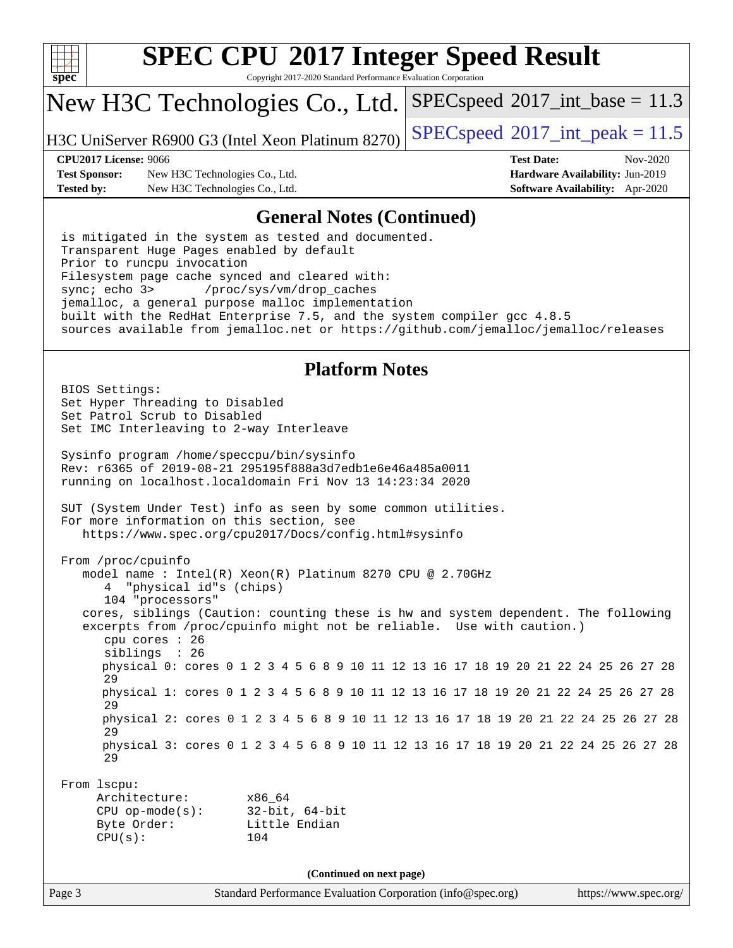

Copyright 2017-2020 Standard Performance Evaluation Corporation

# New H3C Technologies Co., Ltd.

H3C UniServer R6900 G3 (Intel Xeon Platinum 8270) [SPECspeed](http://www.spec.org/auto/cpu2017/Docs/result-fields.html#SPECspeed2017intpeak)®2017\_int\_peak =  $11.5$ 

**[Test Sponsor:](http://www.spec.org/auto/cpu2017/Docs/result-fields.html#TestSponsor)** New H3C Technologies Co., Ltd. **[Hardware Availability:](http://www.spec.org/auto/cpu2017/Docs/result-fields.html#HardwareAvailability)** Jun-2019 **[Tested by:](http://www.spec.org/auto/cpu2017/Docs/result-fields.html#Testedby)** New H3C Technologies Co., Ltd. **[Software Availability:](http://www.spec.org/auto/cpu2017/Docs/result-fields.html#SoftwareAvailability)** Apr-2020

**[CPU2017 License:](http://www.spec.org/auto/cpu2017/Docs/result-fields.html#CPU2017License)** 9066 **[Test Date:](http://www.spec.org/auto/cpu2017/Docs/result-fields.html#TestDate)** Nov-2020

 $SPECspeed^{\circ}2017\_int\_base = 11.3$  $SPECspeed^{\circ}2017\_int\_base = 11.3$ 

### **[General Notes \(Continued\)](http://www.spec.org/auto/cpu2017/Docs/result-fields.html#GeneralNotes)**

 is mitigated in the system as tested and documented. Transparent Huge Pages enabled by default Prior to runcpu invocation Filesystem page cache synced and cleared with: sync; echo 3> /proc/sys/vm/drop\_caches jemalloc, a general purpose malloc implementation built with the RedHat Enterprise 7.5, and the system compiler gcc 4.8.5 sources available from jemalloc.net or <https://github.com/jemalloc/jemalloc/releases>

### **[Platform Notes](http://www.spec.org/auto/cpu2017/Docs/result-fields.html#PlatformNotes)**

Page 3 Standard Performance Evaluation Corporation [\(info@spec.org\)](mailto:info@spec.org) <https://www.spec.org/> BIOS Settings: Set Hyper Threading to Disabled Set Patrol Scrub to Disabled Set IMC Interleaving to 2-way Interleave Sysinfo program /home/speccpu/bin/sysinfo Rev: r6365 of 2019-08-21 295195f888a3d7edb1e6e46a485a0011 running on localhost.localdomain Fri Nov 13 14:23:34 2020 SUT (System Under Test) info as seen by some common utilities. For more information on this section, see <https://www.spec.org/cpu2017/Docs/config.html#sysinfo> From /proc/cpuinfo model name : Intel(R) Xeon(R) Platinum 8270 CPU @ 2.70GHz 4 "physical id"s (chips) 104 "processors" cores, siblings (Caution: counting these is hw and system dependent. The following excerpts from /proc/cpuinfo might not be reliable. Use with caution.) cpu cores : 26 siblings : 26 physical 0: cores 0 1 2 3 4 5 6 8 9 10 11 12 13 16 17 18 19 20 21 22 24 25 26 27 28 29 physical 1: cores 0 1 2 3 4 5 6 8 9 10 11 12 13 16 17 18 19 20 21 22 24 25 26 27 28 29 physical 2: cores 0 1 2 3 4 5 6 8 9 10 11 12 13 16 17 18 19 20 21 22 24 25 26 27 28 29 physical 3: cores 0 1 2 3 4 5 6 8 9 10 11 12 13 16 17 18 19 20 21 22 24 25 26 27 28 29 From lscpu: Architecture: x86\_64 CPU op-mode(s): 32-bit, 64-bit Byte Order: Little Endian CPU(s): 104 **(Continued on next page)**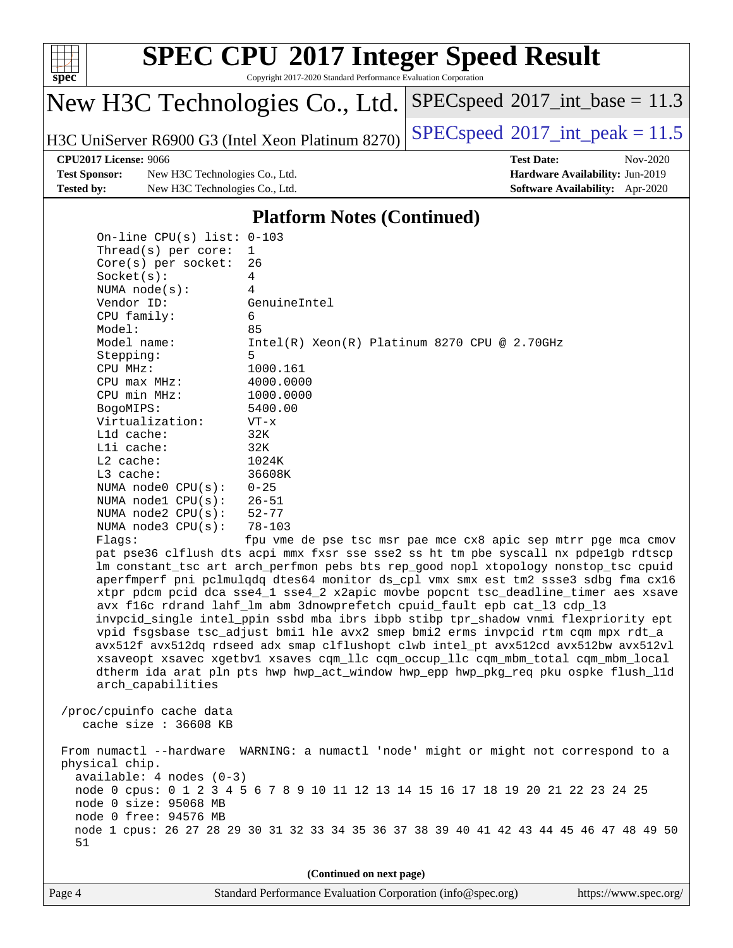

Copyright 2017-2020 Standard Performance Evaluation Corporation

# New H3C Technologies Co., Ltd.

H3C UniServer R6900 G3 (Intel Xeon Platinum 8270) [SPECspeed](http://www.spec.org/auto/cpu2017/Docs/result-fields.html#SPECspeed2017intpeak)®2017\_int\_peak =  $11.5$ 

 $SPECspeed^{\circ}2017\_int\_base = 11.3$  $SPECspeed^{\circ}2017\_int\_base = 11.3$ 

**[Test Sponsor:](http://www.spec.org/auto/cpu2017/Docs/result-fields.html#TestSponsor)** New H3C Technologies Co., Ltd. **[Hardware Availability:](http://www.spec.org/auto/cpu2017/Docs/result-fields.html#HardwareAvailability)** Jun-2019 **[Tested by:](http://www.spec.org/auto/cpu2017/Docs/result-fields.html#Testedby)** New H3C Technologies Co., Ltd. **[Software Availability:](http://www.spec.org/auto/cpu2017/Docs/result-fields.html#SoftwareAvailability)** Apr-2020

**[CPU2017 License:](http://www.spec.org/auto/cpu2017/Docs/result-fields.html#CPU2017License)** 9066 **[Test Date:](http://www.spec.org/auto/cpu2017/Docs/result-fields.html#TestDate)** Nov-2020

### **[Platform Notes \(Continued\)](http://www.spec.org/auto/cpu2017/Docs/result-fields.html#PlatformNotes)**

 On-line CPU(s) list: 0-103 Thread(s) per core: 1 Core(s) per socket: 26 Socket(s): 4 NUMA node(s): 4 Vendor ID: GenuineIntel CPU family: 6 Model: 85 Model name: Intel(R) Xeon(R) Platinum 8270 CPU @ 2.70GHz Stepping: 5 CPU MHz: 1000.161 CPU max MHz: 4000.0000 CPU min MHz: 1000.0000 BogoMIPS: 5400.00 Virtualization: VT-x L1d cache: 32K L1i cache: 32K L2 cache: 1024K L3 cache: 36608K NUMA node0 CPU(s): 0-25 NUMA node1 CPU(s): 26-51 NUMA node2 CPU(s): 52-77 NUMA node3 CPU(s): 78-103 Flags: fpu vme de pse tsc msr pae mce cx8 apic sep mtrr pge mca cmov pat pse36 clflush dts acpi mmx fxsr sse sse2 ss ht tm pbe syscall nx pdpe1gb rdtscp lm constant\_tsc art arch\_perfmon pebs bts rep\_good nopl xtopology nonstop\_tsc cpuid aperfmperf pni pclmulqdq dtes64 monitor ds\_cpl vmx smx est tm2 ssse3 sdbg fma cx16 xtpr pdcm pcid dca sse4\_1 sse4\_2 x2apic movbe popcnt tsc\_deadline\_timer aes xsave avx f16c rdrand lahf\_lm abm 3dnowprefetch cpuid\_fault epb cat\_l3 cdp\_l3 invpcid\_single intel\_ppin ssbd mba ibrs ibpb stibp tpr\_shadow vnmi flexpriority ept vpid fsgsbase tsc\_adjust bmi1 hle avx2 smep bmi2 erms invpcid rtm cqm mpx rdt\_a avx512f avx512dq rdseed adx smap clflushopt clwb intel\_pt avx512cd avx512bw avx512vl xsaveopt xsavec xgetbv1 xsaves cqm\_llc cqm\_occup\_llc cqm\_mbm\_total cqm\_mbm\_local dtherm ida arat pln pts hwp hwp\_act\_window hwp\_epp hwp\_pkg\_req pku ospke flush\_l1d arch\_capabilities /proc/cpuinfo cache data cache size : 36608 KB From numactl --hardware WARNING: a numactl 'node' might or might not correspond to a physical chip. available: 4 nodes (0-3) node 0 cpus: 0 1 2 3 4 5 6 7 8 9 10 11 12 13 14 15 16 17 18 19 20 21 22 23 24 25 node 0 size: 95068 MB node 0 free: 94576 MB node 1 cpus: 26 27 28 29 30 31 32 33 34 35 36 37 38 39 40 41 42 43 44 45 46 47 48 49 50 51

**(Continued on next page)**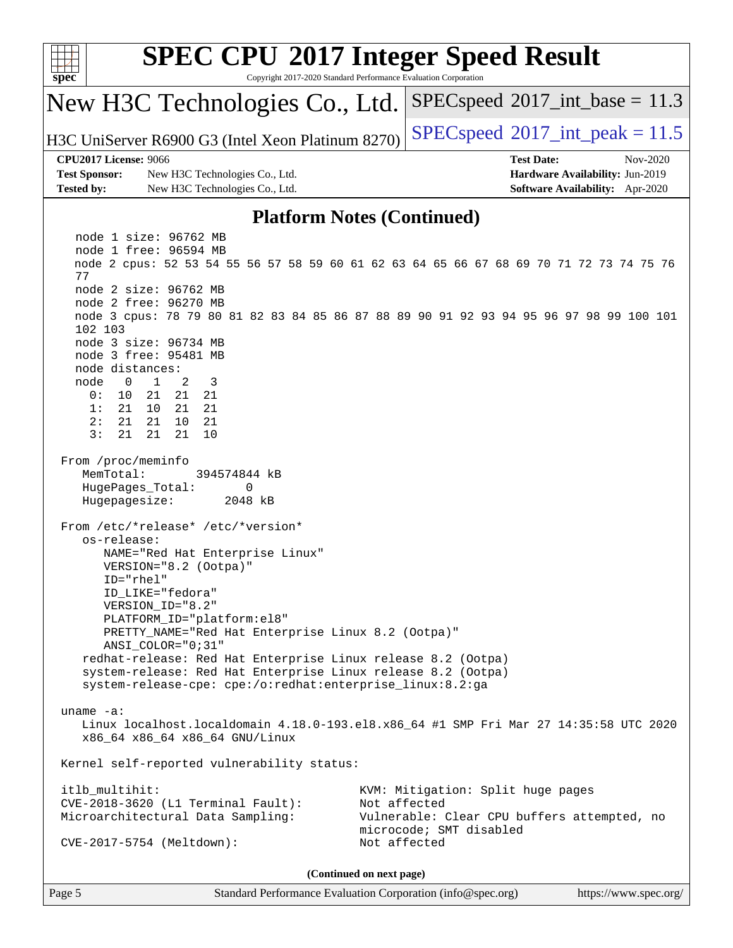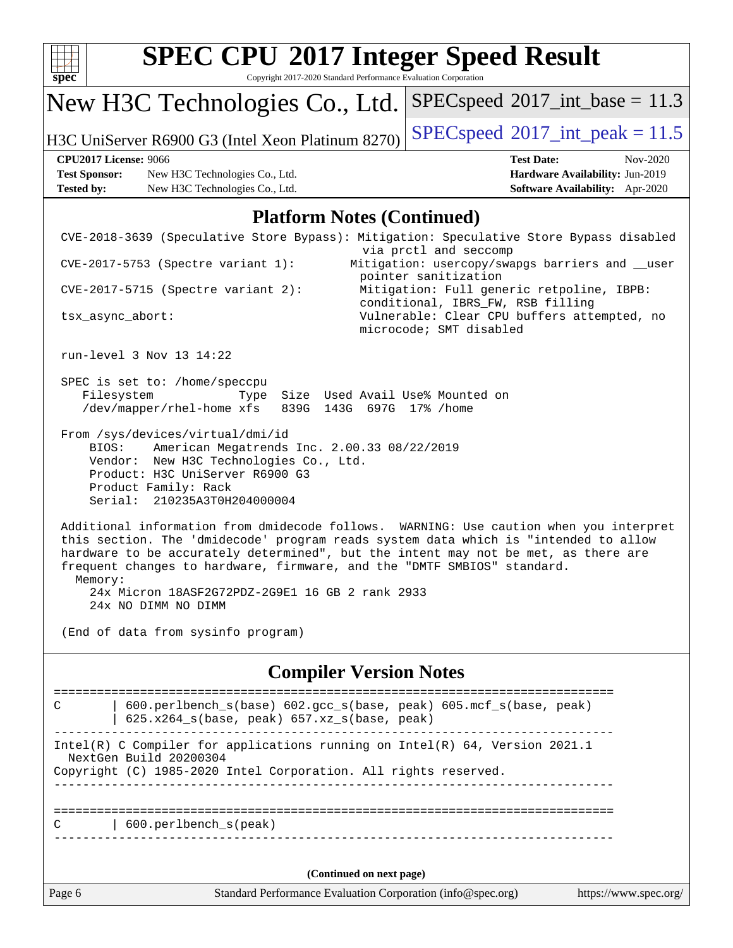| spec <sup>®</sup>                                                         | <b>SPEC CPU®2017 Integer Speed Result</b><br>Copyright 2017-2020 Standard Performance Evaluation Corporation                                                                                                                                                                                                                                                                                                             |                          |                                                                                                        |                                                                                |
|---------------------------------------------------------------------------|--------------------------------------------------------------------------------------------------------------------------------------------------------------------------------------------------------------------------------------------------------------------------------------------------------------------------------------------------------------------------------------------------------------------------|--------------------------|--------------------------------------------------------------------------------------------------------|--------------------------------------------------------------------------------|
|                                                                           | New H3C Technologies Co., Ltd.                                                                                                                                                                                                                                                                                                                                                                                           |                          | $SPEC speed^{\circ}2017\_int\_base = 11.3$                                                             |                                                                                |
|                                                                           | H3C UniServer R6900 G3 (Intel Xeon Platinum 8270)                                                                                                                                                                                                                                                                                                                                                                        |                          | $SPEC speed^{\circ}2017\_int\_peak = 11.5$                                                             |                                                                                |
| <b>CPU2017 License: 9066</b><br><b>Test Sponsor:</b><br><b>Tested by:</b> | New H3C Technologies Co., Ltd.<br>New H3C Technologies Co., Ltd.                                                                                                                                                                                                                                                                                                                                                         |                          | <b>Test Date:</b>                                                                                      | Nov-2020<br>Hardware Availability: Jun-2019<br>Software Availability: Apr-2020 |
|                                                                           | <b>Platform Notes (Continued)</b>                                                                                                                                                                                                                                                                                                                                                                                        |                          |                                                                                                        |                                                                                |
|                                                                           | CVE-2018-3639 (Speculative Store Bypass): Mitigation: Speculative Store Bypass disabled                                                                                                                                                                                                                                                                                                                                  |                          |                                                                                                        |                                                                                |
|                                                                           | CVE-2017-5753 (Spectre variant 1):                                                                                                                                                                                                                                                                                                                                                                                       |                          | via prctl and seccomp<br>Mitigation: usercopy/swapgs barriers and __user                               |                                                                                |
|                                                                           | CVE-2017-5715 (Spectre variant 2):                                                                                                                                                                                                                                                                                                                                                                                       |                          | pointer sanitization<br>Mitigation: Full generic retpoline, IBPB:<br>conditional, IBRS_FW, RSB filling |                                                                                |
| tsx_async_abort:                                                          |                                                                                                                                                                                                                                                                                                                                                                                                                          |                          | Vulnerable: Clear CPU buffers attempted, no<br>microcode; SMT disabled                                 |                                                                                |
|                                                                           | run-level 3 Nov 13 14:22                                                                                                                                                                                                                                                                                                                                                                                                 |                          |                                                                                                        |                                                                                |
| Filesystem                                                                | SPEC is set to: /home/speccpu<br>Type<br>/dev/mapper/rhel-home xfs<br>839G 143G 697G 17% / home                                                                                                                                                                                                                                                                                                                          |                          | Size Used Avail Use% Mounted on                                                                        |                                                                                |
| BIOS:                                                                     | From /sys/devices/virtual/dmi/id<br>American Megatrends Inc. 2.00.33 08/22/2019<br>Vendor: New H3C Technologies Co., Ltd.<br>Product: H3C UniServer R6900 G3<br>Product Family: Rack<br>Serial: 210235A3T0H204000004                                                                                                                                                                                                     |                          |                                                                                                        |                                                                                |
| Memory:                                                                   | Additional information from dmidecode follows. WARNING: Use caution when you interpret<br>this section. The 'dmidecode' program reads system data which is "intended to allow<br>hardware to be accurately determined", but the intent may not be met, as there are<br>frequent changes to hardware, firmware, and the "DMTF SMBIOS" standard.<br>24x Micron 18ASF2G72PDZ-2G9E1 16 GB 2 rank 2933<br>24x NO DIMM NO DIMM |                          |                                                                                                        |                                                                                |
|                                                                           | (End of data from sysinfo program)                                                                                                                                                                                                                                                                                                                                                                                       |                          |                                                                                                        |                                                                                |
|                                                                           | <b>Compiler Version Notes</b>                                                                                                                                                                                                                                                                                                                                                                                            |                          |                                                                                                        |                                                                                |
| С                                                                         | 600.perlbench_s(base) 602.gcc_s(base, peak) 605.mcf_s(base, peak)<br>625.x264_s(base, peak) 657.xz_s(base, peak)                                                                                                                                                                                                                                                                                                         |                          |                                                                                                        |                                                                                |
|                                                                           | Intel(R) C Compiler for applications running on Intel(R) 64, Version 2021.1<br>NextGen Build 20200304                                                                                                                                                                                                                                                                                                                    |                          |                                                                                                        |                                                                                |
|                                                                           | Copyright (C) 1985-2020 Intel Corporation. All rights reserved.                                                                                                                                                                                                                                                                                                                                                          |                          |                                                                                                        |                                                                                |
| С                                                                         | 600.perlbench_s(peak)                                                                                                                                                                                                                                                                                                                                                                                                    |                          |                                                                                                        |                                                                                |
|                                                                           |                                                                                                                                                                                                                                                                                                                                                                                                                          | (Continued on next page) |                                                                                                        |                                                                                |
| Page 6                                                                    | Standard Performance Evaluation Corporation (info@spec.org)                                                                                                                                                                                                                                                                                                                                                              |                          |                                                                                                        | https://www.spec.org/                                                          |
|                                                                           |                                                                                                                                                                                                                                                                                                                                                                                                                          |                          |                                                                                                        |                                                                                |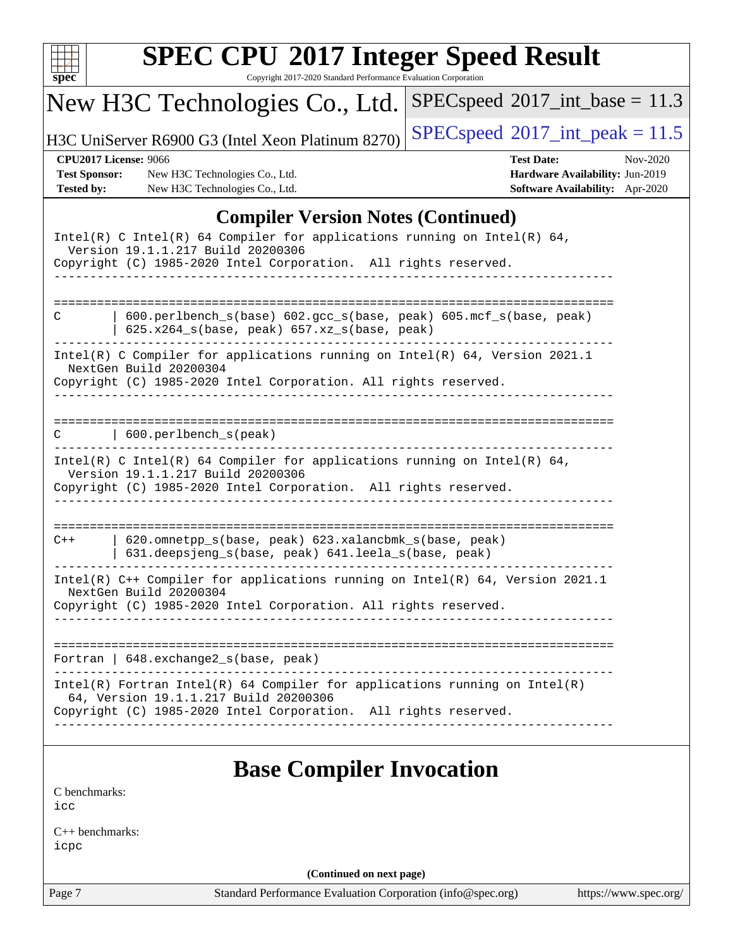| <b>SPEC CPU®2017 Integer Speed Result</b><br>$spec^*$<br>Copyright 2017-2020 Standard Performance Evaluation Corporation                                                                 |                                                                                                     |  |  |  |  |  |
|------------------------------------------------------------------------------------------------------------------------------------------------------------------------------------------|-----------------------------------------------------------------------------------------------------|--|--|--|--|--|
| New H3C Technologies Co., Ltd.                                                                                                                                                           | $SPEC speed^{\circ}2017\_int\_base = 11.3$                                                          |  |  |  |  |  |
| H3C UniServer R6900 G3 (Intel Xeon Platinum 8270)                                                                                                                                        | $SPEC speed^{\circ}2017\_int\_peak = 11.5$                                                          |  |  |  |  |  |
| <b>CPU2017 License: 9066</b><br><b>Test Sponsor:</b><br>New H3C Technologies Co., Ltd.<br>New H3C Technologies Co., Ltd.<br><b>Tested by:</b>                                            | <b>Test Date:</b><br>Nov-2020<br>Hardware Availability: Jun-2019<br>Software Availability: Apr-2020 |  |  |  |  |  |
| <b>Compiler Version Notes (Continued)</b>                                                                                                                                                |                                                                                                     |  |  |  |  |  |
| Intel(R) C Intel(R) 64 Compiler for applications running on Intel(R) 64,<br>Version 19.1.1.217 Build 20200306<br>Copyright (C) 1985-2020 Intel Corporation. All rights reserved.         |                                                                                                     |  |  |  |  |  |
| 600.perlbench_s(base) 602.gcc_s(base, peak) 605.mcf_s(base, peak)<br>C<br>$625.x264_s(base, peak)$ $657.xz_s(base, peak)$                                                                |                                                                                                     |  |  |  |  |  |
| Intel(R) C Compiler for applications running on $Intel(R) 64$ , Version 2021.1<br>NextGen Build 20200304<br>Copyright (C) 1985-2020 Intel Corporation. All rights reserved.              |                                                                                                     |  |  |  |  |  |
| 600.perlbench_s(peak)                                                                                                                                                                    |                                                                                                     |  |  |  |  |  |
| Intel(R) C Intel(R) 64 Compiler for applications running on Intel(R) 64,<br>Version 19.1.1.217 Build 20200306<br>Copyright (C) 1985-2020 Intel Corporation. All rights reserved.         |                                                                                                     |  |  |  |  |  |
| 620.omnetpp_s(base, peak) 623.xalancbmk_s(base, peak)<br>$C++$<br>631.deepsjeng_s(base, peak) 641.leela_s(base, peak)                                                                    | ====================                                                                                |  |  |  |  |  |
| Intel(R) C++ Compiler for applications running on Intel(R) 64, Version 2021.1<br>NextGen Build 20200304<br>Copyright (C) 1985-2020 Intel Corporation. All rights reserved.               |                                                                                                     |  |  |  |  |  |
| Fortran   648. exchange 2_s (base, peak)                                                                                                                                                 |                                                                                                     |  |  |  |  |  |
| $Intel(R)$ Fortran Intel(R) 64 Compiler for applications running on Intel(R)<br>64, Version 19.1.1.217 Build 20200306<br>Copyright (C) 1985-2020 Intel Corporation. All rights reserved. |                                                                                                     |  |  |  |  |  |
| <b>Base Compiler Invocation</b><br>C benchmarks:                                                                                                                                         |                                                                                                     |  |  |  |  |  |

[icc](http://www.spec.org/cpu2017/results/res2020q4/cpu2017-20201116-24393.flags.html#user_CCbase_intel_icc_66fc1ee009f7361af1fbd72ca7dcefbb700085f36577c54f309893dd4ec40d12360134090235512931783d35fd58c0460139e722d5067c5574d8eaf2b3e37e92)

[C++ benchmarks:](http://www.spec.org/auto/cpu2017/Docs/result-fields.html#CXXbenchmarks) [icpc](http://www.spec.org/cpu2017/results/res2020q4/cpu2017-20201116-24393.flags.html#user_CXXbase_intel_icpc_c510b6838c7f56d33e37e94d029a35b4a7bccf4766a728ee175e80a419847e808290a9b78be685c44ab727ea267ec2f070ec5dc83b407c0218cded6866a35d07)

**(Continued on next page)**

Page 7 Standard Performance Evaluation Corporation [\(info@spec.org\)](mailto:info@spec.org) <https://www.spec.org/>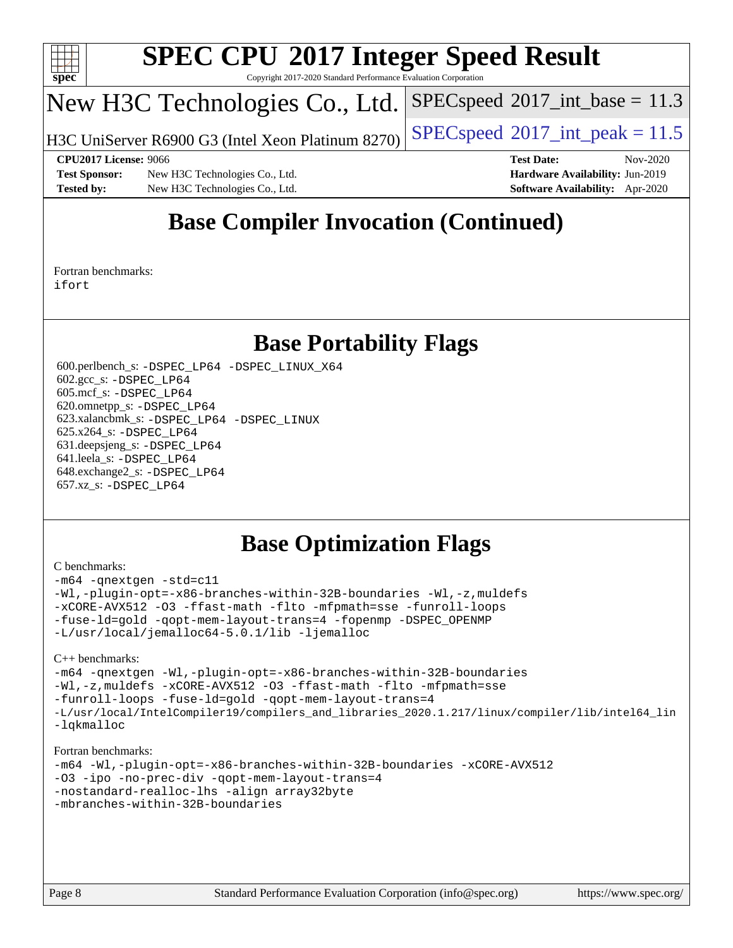

Copyright 2017-2020 Standard Performance Evaluation Corporation

# New H3C Technologies Co., Ltd.

H3C UniServer R6900 G3 (Intel Xeon Platinum 8270) [SPECspeed](http://www.spec.org/auto/cpu2017/Docs/result-fields.html#SPECspeed2017intpeak)®2017\_int\_peak =  $11.5$ 

 $SPECspeed^{\circ}2017\_int\_base = 11.3$  $SPECspeed^{\circ}2017\_int\_base = 11.3$ 

**[Test Sponsor:](http://www.spec.org/auto/cpu2017/Docs/result-fields.html#TestSponsor)** New H3C Technologies Co., Ltd. **[Hardware Availability:](http://www.spec.org/auto/cpu2017/Docs/result-fields.html#HardwareAvailability)** Jun-2019 **[Tested by:](http://www.spec.org/auto/cpu2017/Docs/result-fields.html#Testedby)** New H3C Technologies Co., Ltd. **[Software Availability:](http://www.spec.org/auto/cpu2017/Docs/result-fields.html#SoftwareAvailability)** Apr-2020

**[CPU2017 License:](http://www.spec.org/auto/cpu2017/Docs/result-fields.html#CPU2017License)** 9066 **[Test Date:](http://www.spec.org/auto/cpu2017/Docs/result-fields.html#TestDate)** Nov-2020

# **[Base Compiler Invocation \(Continued\)](http://www.spec.org/auto/cpu2017/Docs/result-fields.html#BaseCompilerInvocation)**

[Fortran benchmarks](http://www.spec.org/auto/cpu2017/Docs/result-fields.html#Fortranbenchmarks): [ifort](http://www.spec.org/cpu2017/results/res2020q4/cpu2017-20201116-24393.flags.html#user_FCbase_intel_ifort_8111460550e3ca792625aed983ce982f94888b8b503583aa7ba2b8303487b4d8a21a13e7191a45c5fd58ff318f48f9492884d4413fa793fd88dd292cad7027ca)

## **[Base Portability Flags](http://www.spec.org/auto/cpu2017/Docs/result-fields.html#BasePortabilityFlags)**

 600.perlbench\_s: [-DSPEC\\_LP64](http://www.spec.org/cpu2017/results/res2020q4/cpu2017-20201116-24393.flags.html#b600.perlbench_s_basePORTABILITY_DSPEC_LP64) [-DSPEC\\_LINUX\\_X64](http://www.spec.org/cpu2017/results/res2020q4/cpu2017-20201116-24393.flags.html#b600.perlbench_s_baseCPORTABILITY_DSPEC_LINUX_X64) 602.gcc\_s: [-DSPEC\\_LP64](http://www.spec.org/cpu2017/results/res2020q4/cpu2017-20201116-24393.flags.html#suite_basePORTABILITY602_gcc_s_DSPEC_LP64) 605.mcf\_s: [-DSPEC\\_LP64](http://www.spec.org/cpu2017/results/res2020q4/cpu2017-20201116-24393.flags.html#suite_basePORTABILITY605_mcf_s_DSPEC_LP64) 620.omnetpp\_s: [-DSPEC\\_LP64](http://www.spec.org/cpu2017/results/res2020q4/cpu2017-20201116-24393.flags.html#suite_basePORTABILITY620_omnetpp_s_DSPEC_LP64) 623.xalancbmk\_s: [-DSPEC\\_LP64](http://www.spec.org/cpu2017/results/res2020q4/cpu2017-20201116-24393.flags.html#suite_basePORTABILITY623_xalancbmk_s_DSPEC_LP64) [-DSPEC\\_LINUX](http://www.spec.org/cpu2017/results/res2020q4/cpu2017-20201116-24393.flags.html#b623.xalancbmk_s_baseCXXPORTABILITY_DSPEC_LINUX) 625.x264\_s: [-DSPEC\\_LP64](http://www.spec.org/cpu2017/results/res2020q4/cpu2017-20201116-24393.flags.html#suite_basePORTABILITY625_x264_s_DSPEC_LP64) 631.deepsjeng\_s: [-DSPEC\\_LP64](http://www.spec.org/cpu2017/results/res2020q4/cpu2017-20201116-24393.flags.html#suite_basePORTABILITY631_deepsjeng_s_DSPEC_LP64) 641.leela\_s: [-DSPEC\\_LP64](http://www.spec.org/cpu2017/results/res2020q4/cpu2017-20201116-24393.flags.html#suite_basePORTABILITY641_leela_s_DSPEC_LP64) 648.exchange2\_s: [-DSPEC\\_LP64](http://www.spec.org/cpu2017/results/res2020q4/cpu2017-20201116-24393.flags.html#suite_basePORTABILITY648_exchange2_s_DSPEC_LP64) 657.xz\_s: [-DSPEC\\_LP64](http://www.spec.org/cpu2017/results/res2020q4/cpu2017-20201116-24393.flags.html#suite_basePORTABILITY657_xz_s_DSPEC_LP64)

## **[Base Optimization Flags](http://www.spec.org/auto/cpu2017/Docs/result-fields.html#BaseOptimizationFlags)**

### [C benchmarks](http://www.spec.org/auto/cpu2017/Docs/result-fields.html#Cbenchmarks):

[-m64](http://www.spec.org/cpu2017/results/res2020q4/cpu2017-20201116-24393.flags.html#user_CCbase_m64-icc) [-qnextgen](http://www.spec.org/cpu2017/results/res2020q4/cpu2017-20201116-24393.flags.html#user_CCbase_f-qnextgen) [-std=c11](http://www.spec.org/cpu2017/results/res2020q4/cpu2017-20201116-24393.flags.html#user_CCbase_std-icc-std_0e1c27790398a4642dfca32ffe6c27b5796f9c2d2676156f2e42c9c44eaad0c049b1cdb667a270c34d979996257aeb8fc440bfb01818dbc9357bd9d174cb8524) [-Wl,-plugin-opt=-x86-branches-within-32B-boundaries](http://www.spec.org/cpu2017/results/res2020q4/cpu2017-20201116-24393.flags.html#user_CCbase_f-x86-branches-within-32B-boundaries_0098b4e4317ae60947b7b728078a624952a08ac37a3c797dfb4ffeb399e0c61a9dd0f2f44ce917e9361fb9076ccb15e7824594512dd315205382d84209e912f3) [-Wl,-z,muldefs](http://www.spec.org/cpu2017/results/res2020q4/cpu2017-20201116-24393.flags.html#user_CCbase_link_force_multiple1_b4cbdb97b34bdee9ceefcfe54f4c8ea74255f0b02a4b23e853cdb0e18eb4525ac79b5a88067c842dd0ee6996c24547a27a4b99331201badda8798ef8a743f577) [-xCORE-AVX512](http://www.spec.org/cpu2017/results/res2020q4/cpu2017-20201116-24393.flags.html#user_CCbase_f-xCORE-AVX512) [-O3](http://www.spec.org/cpu2017/results/res2020q4/cpu2017-20201116-24393.flags.html#user_CCbase_f-O3) [-ffast-math](http://www.spec.org/cpu2017/results/res2020q4/cpu2017-20201116-24393.flags.html#user_CCbase_f-ffast-math) [-flto](http://www.spec.org/cpu2017/results/res2020q4/cpu2017-20201116-24393.flags.html#user_CCbase_f-flto) [-mfpmath=sse](http://www.spec.org/cpu2017/results/res2020q4/cpu2017-20201116-24393.flags.html#user_CCbase_f-mfpmath_70eb8fac26bde974f8ab713bc9086c5621c0b8d2f6c86f38af0bd7062540daf19db5f3a066d8c6684be05d84c9b6322eb3b5be6619d967835195b93d6c02afa1) [-funroll-loops](http://www.spec.org/cpu2017/results/res2020q4/cpu2017-20201116-24393.flags.html#user_CCbase_f-funroll-loops) [-fuse-ld=gold](http://www.spec.org/cpu2017/results/res2020q4/cpu2017-20201116-24393.flags.html#user_CCbase_f-fuse-ld_920b3586e2b8c6e0748b9c84fa9b744736ba725a32cab14ad8f3d4ad28eecb2f59d1144823d2e17006539a88734fe1fc08fc3035f7676166309105a78aaabc32) [-qopt-mem-layout-trans=4](http://www.spec.org/cpu2017/results/res2020q4/cpu2017-20201116-24393.flags.html#user_CCbase_f-qopt-mem-layout-trans_fa39e755916c150a61361b7846f310bcdf6f04e385ef281cadf3647acec3f0ae266d1a1d22d972a7087a248fd4e6ca390a3634700869573d231a252c784941a8) [-fopenmp](http://www.spec.org/cpu2017/results/res2020q4/cpu2017-20201116-24393.flags.html#user_CCbase_fopenmp_5aa2e47ce4f2ef030ba5d12d5a7a9c4e57167333d78243fcadb80b48d5abb78ff19333f8478e0b2a41e63049eb285965c145ccab7b93db7d0c4d59e4dc6f5591) [-DSPEC\\_OPENMP](http://www.spec.org/cpu2017/results/res2020q4/cpu2017-20201116-24393.flags.html#suite_CCbase_DSPEC_OPENMP) [-L/usr/local/jemalloc64-5.0.1/lib](http://www.spec.org/cpu2017/results/res2020q4/cpu2017-20201116-24393.flags.html#user_CCbase_jemalloc_link_path64_1_cc289568b1a6c0fd3b62c91b824c27fcb5af5e8098e6ad028160d21144ef1b8aef3170d2acf0bee98a8da324cfe4f67d0a3d0c4cc4673d993d694dc2a0df248b) [-ljemalloc](http://www.spec.org/cpu2017/results/res2020q4/cpu2017-20201116-24393.flags.html#user_CCbase_jemalloc_link_lib_d1249b907c500fa1c0672f44f562e3d0f79738ae9e3c4a9c376d49f265a04b9c99b167ecedbf6711b3085be911c67ff61f150a17b3472be731631ba4d0471706)

[C++ benchmarks:](http://www.spec.org/auto/cpu2017/Docs/result-fields.html#CXXbenchmarks)

[-m64](http://www.spec.org/cpu2017/results/res2020q4/cpu2017-20201116-24393.flags.html#user_CXXbase_m64-icc) [-qnextgen](http://www.spec.org/cpu2017/results/res2020q4/cpu2017-20201116-24393.flags.html#user_CXXbase_f-qnextgen) [-Wl,-plugin-opt=-x86-branches-within-32B-boundaries](http://www.spec.org/cpu2017/results/res2020q4/cpu2017-20201116-24393.flags.html#user_CXXbase_f-x86-branches-within-32B-boundaries_0098b4e4317ae60947b7b728078a624952a08ac37a3c797dfb4ffeb399e0c61a9dd0f2f44ce917e9361fb9076ccb15e7824594512dd315205382d84209e912f3) [-Wl,-z,muldefs](http://www.spec.org/cpu2017/results/res2020q4/cpu2017-20201116-24393.flags.html#user_CXXbase_link_force_multiple1_b4cbdb97b34bdee9ceefcfe54f4c8ea74255f0b02a4b23e853cdb0e18eb4525ac79b5a88067c842dd0ee6996c24547a27a4b99331201badda8798ef8a743f577) [-xCORE-AVX512](http://www.spec.org/cpu2017/results/res2020q4/cpu2017-20201116-24393.flags.html#user_CXXbase_f-xCORE-AVX512) [-O3](http://www.spec.org/cpu2017/results/res2020q4/cpu2017-20201116-24393.flags.html#user_CXXbase_f-O3) [-ffast-math](http://www.spec.org/cpu2017/results/res2020q4/cpu2017-20201116-24393.flags.html#user_CXXbase_f-ffast-math) [-flto](http://www.spec.org/cpu2017/results/res2020q4/cpu2017-20201116-24393.flags.html#user_CXXbase_f-flto) [-mfpmath=sse](http://www.spec.org/cpu2017/results/res2020q4/cpu2017-20201116-24393.flags.html#user_CXXbase_f-mfpmath_70eb8fac26bde974f8ab713bc9086c5621c0b8d2f6c86f38af0bd7062540daf19db5f3a066d8c6684be05d84c9b6322eb3b5be6619d967835195b93d6c02afa1) [-funroll-loops](http://www.spec.org/cpu2017/results/res2020q4/cpu2017-20201116-24393.flags.html#user_CXXbase_f-funroll-loops) [-fuse-ld=gold](http://www.spec.org/cpu2017/results/res2020q4/cpu2017-20201116-24393.flags.html#user_CXXbase_f-fuse-ld_920b3586e2b8c6e0748b9c84fa9b744736ba725a32cab14ad8f3d4ad28eecb2f59d1144823d2e17006539a88734fe1fc08fc3035f7676166309105a78aaabc32) [-qopt-mem-layout-trans=4](http://www.spec.org/cpu2017/results/res2020q4/cpu2017-20201116-24393.flags.html#user_CXXbase_f-qopt-mem-layout-trans_fa39e755916c150a61361b7846f310bcdf6f04e385ef281cadf3647acec3f0ae266d1a1d22d972a7087a248fd4e6ca390a3634700869573d231a252c784941a8) [-L/usr/local/IntelCompiler19/compilers\\_and\\_libraries\\_2020.1.217/linux/compiler/lib/intel64\\_lin](http://www.spec.org/cpu2017/results/res2020q4/cpu2017-20201116-24393.flags.html#user_CXXbase_linkpath_2cb6f503891ebf8baee7515f4e7d4ec1217444d1d05903cc0091ac4158de400651d2b2313a9fa414cb8a8f0e16ab029634f5c6db340f400369c190d4db8a54a0) [-lqkmalloc](http://www.spec.org/cpu2017/results/res2020q4/cpu2017-20201116-24393.flags.html#user_CXXbase_qkmalloc_link_lib_79a818439969f771c6bc311cfd333c00fc099dad35c030f5aab9dda831713d2015205805422f83de8875488a2991c0a156aaa600e1f9138f8fc37004abc96dc5)

[Fortran benchmarks:](http://www.spec.org/auto/cpu2017/Docs/result-fields.html#Fortranbenchmarks)

```
-m64 -Wl,-plugin-opt=-x86-branches-within-32B-boundaries -xCORE-AVX512
-O3 -ipo -no-prec-div -qopt-mem-layout-trans=4
-nostandard-realloc-lhs -align array32byte
-mbranches-within-32B-boundaries
```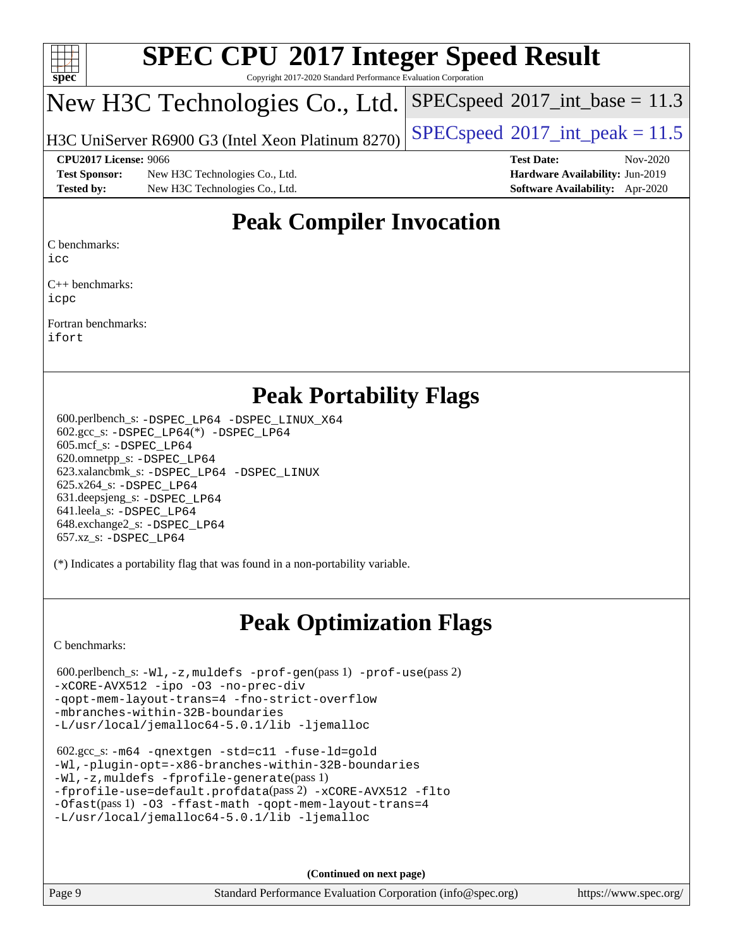

Copyright 2017-2020 Standard Performance Evaluation Corporation

# New H3C Technologies Co., Ltd.

H3C UniServer R6900 G3 (Intel Xeon Platinum 8270) [SPECspeed](http://www.spec.org/auto/cpu2017/Docs/result-fields.html#SPECspeed2017intpeak)®2017\_int\_peak =  $11.5$ 

 $SPECspeed^{\circledcirc}2017\_int\_base = 11.3$  $SPECspeed^{\circledcirc}2017\_int\_base = 11.3$ 

**[Test Sponsor:](http://www.spec.org/auto/cpu2017/Docs/result-fields.html#TestSponsor)** New H3C Technologies Co., Ltd. **[Hardware Availability:](http://www.spec.org/auto/cpu2017/Docs/result-fields.html#HardwareAvailability)** Jun-2019 **[Tested by:](http://www.spec.org/auto/cpu2017/Docs/result-fields.html#Testedby)** New H3C Technologies Co., Ltd. **[Software Availability:](http://www.spec.org/auto/cpu2017/Docs/result-fields.html#SoftwareAvailability)** Apr-2020

**[CPU2017 License:](http://www.spec.org/auto/cpu2017/Docs/result-fields.html#CPU2017License)** 9066 **[Test Date:](http://www.spec.org/auto/cpu2017/Docs/result-fields.html#TestDate)** Nov-2020

# **[Peak Compiler Invocation](http://www.spec.org/auto/cpu2017/Docs/result-fields.html#PeakCompilerInvocation)**

[C benchmarks](http://www.spec.org/auto/cpu2017/Docs/result-fields.html#Cbenchmarks):

[icc](http://www.spec.org/cpu2017/results/res2020q4/cpu2017-20201116-24393.flags.html#user_CCpeak_intel_icc_66fc1ee009f7361af1fbd72ca7dcefbb700085f36577c54f309893dd4ec40d12360134090235512931783d35fd58c0460139e722d5067c5574d8eaf2b3e37e92)

[C++ benchmarks:](http://www.spec.org/auto/cpu2017/Docs/result-fields.html#CXXbenchmarks) [icpc](http://www.spec.org/cpu2017/results/res2020q4/cpu2017-20201116-24393.flags.html#user_CXXpeak_intel_icpc_c510b6838c7f56d33e37e94d029a35b4a7bccf4766a728ee175e80a419847e808290a9b78be685c44ab727ea267ec2f070ec5dc83b407c0218cded6866a35d07)

[Fortran benchmarks](http://www.spec.org/auto/cpu2017/Docs/result-fields.html#Fortranbenchmarks): [ifort](http://www.spec.org/cpu2017/results/res2020q4/cpu2017-20201116-24393.flags.html#user_FCpeak_intel_ifort_8111460550e3ca792625aed983ce982f94888b8b503583aa7ba2b8303487b4d8a21a13e7191a45c5fd58ff318f48f9492884d4413fa793fd88dd292cad7027ca)

## **[Peak Portability Flags](http://www.spec.org/auto/cpu2017/Docs/result-fields.html#PeakPortabilityFlags)**

 600.perlbench\_s: [-DSPEC\\_LP64](http://www.spec.org/cpu2017/results/res2020q4/cpu2017-20201116-24393.flags.html#b600.perlbench_s_peakPORTABILITY_DSPEC_LP64) [-DSPEC\\_LINUX\\_X64](http://www.spec.org/cpu2017/results/res2020q4/cpu2017-20201116-24393.flags.html#b600.perlbench_s_peakCPORTABILITY_DSPEC_LINUX_X64) 602.gcc\_s: [-DSPEC\\_LP64](http://www.spec.org/cpu2017/results/res2020q4/cpu2017-20201116-24393.flags.html#suite_peakCCLD602_gcc_s_DSPEC_LP64)(\*) [-DSPEC\\_LP64](http://www.spec.org/cpu2017/results/res2020q4/cpu2017-20201116-24393.flags.html#suite_peakPORTABILITY602_gcc_s_DSPEC_LP64) 605.mcf\_s: [-DSPEC\\_LP64](http://www.spec.org/cpu2017/results/res2020q4/cpu2017-20201116-24393.flags.html#suite_peakPORTABILITY605_mcf_s_DSPEC_LP64) 620.omnetpp\_s: [-DSPEC\\_LP64](http://www.spec.org/cpu2017/results/res2020q4/cpu2017-20201116-24393.flags.html#suite_peakPORTABILITY620_omnetpp_s_DSPEC_LP64) 623.xalancbmk\_s: [-DSPEC\\_LP64](http://www.spec.org/cpu2017/results/res2020q4/cpu2017-20201116-24393.flags.html#suite_peakPORTABILITY623_xalancbmk_s_DSPEC_LP64) [-DSPEC\\_LINUX](http://www.spec.org/cpu2017/results/res2020q4/cpu2017-20201116-24393.flags.html#b623.xalancbmk_s_peakCXXPORTABILITY_DSPEC_LINUX) 625.x264\_s: [-DSPEC\\_LP64](http://www.spec.org/cpu2017/results/res2020q4/cpu2017-20201116-24393.flags.html#suite_peakPORTABILITY625_x264_s_DSPEC_LP64) 631.deepsjeng\_s: [-DSPEC\\_LP64](http://www.spec.org/cpu2017/results/res2020q4/cpu2017-20201116-24393.flags.html#suite_peakPORTABILITY631_deepsjeng_s_DSPEC_LP64) 641.leela\_s: [-DSPEC\\_LP64](http://www.spec.org/cpu2017/results/res2020q4/cpu2017-20201116-24393.flags.html#suite_peakPORTABILITY641_leela_s_DSPEC_LP64) 648.exchange2\_s: [-DSPEC\\_LP64](http://www.spec.org/cpu2017/results/res2020q4/cpu2017-20201116-24393.flags.html#suite_peakPORTABILITY648_exchange2_s_DSPEC_LP64) 657.xz\_s: [-DSPEC\\_LP64](http://www.spec.org/cpu2017/results/res2020q4/cpu2017-20201116-24393.flags.html#suite_peakPORTABILITY657_xz_s_DSPEC_LP64)

(\*) Indicates a portability flag that was found in a non-portability variable.

# **[Peak Optimization Flags](http://www.spec.org/auto/cpu2017/Docs/result-fields.html#PeakOptimizationFlags)**

[C benchmarks](http://www.spec.org/auto/cpu2017/Docs/result-fields.html#Cbenchmarks):

```
 600.perlbench_s: -Wl,-z,muldefs -prof-gen(pass 1) -prof-use(pass 2)
-xCORE-AVX512 -ipo -O3 -no-prec-div
-qopt-mem-layout-trans=4 -fno-strict-overflow
-mbranches-within-32B-boundaries
-L/usr/local/jemalloc64-5.0.1/lib -ljemalloc
```

```
 602.gcc_s: -m64 -qnextgen -std=c11 -fuse-ld=gold
-Wl,-plugin-opt=-x86-branches-within-32B-boundaries
-Wl,-z,muldefs -fprofile-generate(pass 1)
-fprofile-use=default.profdata(pass 2) -xCORE-AVX512 -flto
-Ofast(pass 1) -O3 -ffast-math -qopt-mem-layout-trans=4
-L/usr/local/jemalloc64-5.0.1/lib -ljemalloc
```
**(Continued on next page)**

Page 9 Standard Performance Evaluation Corporation [\(info@spec.org\)](mailto:info@spec.org) <https://www.spec.org/>